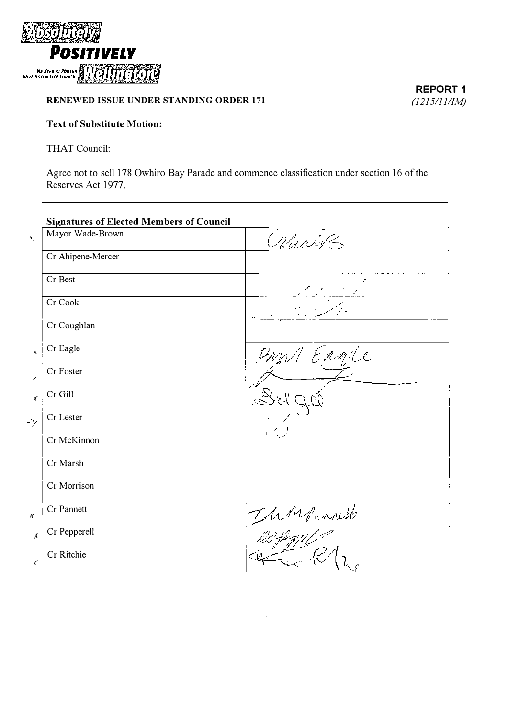

## RENEWED ISSUE UNDER STANDING ORDER 171

## Text of Substitute Motion:

THAT Council:

Agree not to sell 178 Owhiro Bay Parade and commence classification under section 16 of the Reserves Act 1977.

## Signatures of Elected Members of Council

| x            | Mayor Wade-Brown  | arming        |
|--------------|-------------------|---------------|
|              | Cr Ahipene-Mercer |               |
|              | Cr Best           |               |
| $\bar{z}$    | Cr Cook           |               |
|              | Cr Coughlan       |               |
| Х            | Cr Eagle          | Ergre         |
| Ý.           | Cr Foster         |               |
| $\chi$       | Cr Gill           | Ď.            |
| -7           | Cr Lester         |               |
|              | Cr McKinnon       |               |
|              | Cr Marsh          |               |
|              | Cr Morrison       |               |
| $\pmb{\chi}$ | Cr Pannett        | Thompsoniests |
| $\lambda$    | Cr Pepperell      |               |
| ₹            | Cr Ritchie        |               |